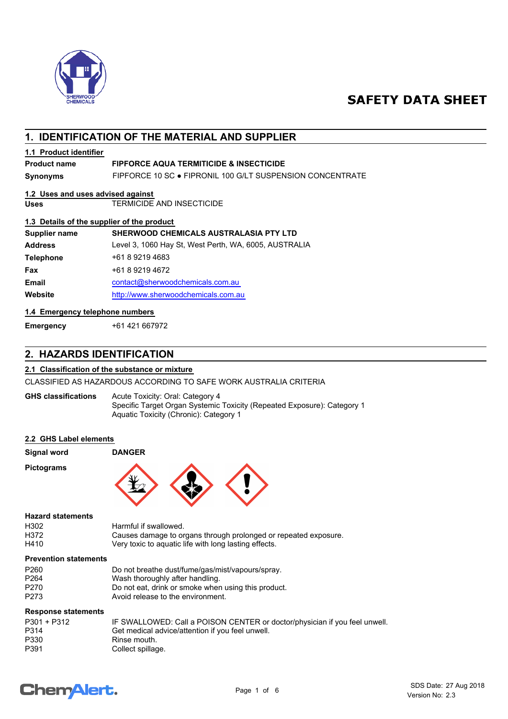

## **SAFETY DATA SHEET**

## **1. IDENTIFICATION OF THE MATERIAL AND SUPPLIER**

## **1.1 Product identifier**

## **Product name FIPFORCE AQUA TERMITICIDE & INSECTICIDE**

**Synonyms** FIPFORCE 10 SC ● FIPRONIL 100 G/LT SUSPENSION CONCENTRATE

## **1.2 Uses and uses advised against**

**Uses** TERMICIDE AND INSECTICIDE

#### **1.3 Details of the supplier of the product**

| Supplier name    | SHERWOOD CHEMICALS AUSTRALASIA PTY LTD                |
|------------------|-------------------------------------------------------|
| <b>Address</b>   | Level 3, 1060 Hay St, West Perth, WA, 6005, AUSTRALIA |
| <b>Telephone</b> | +61 8 9219 4683                                       |
| Fax              | +61 8 9219 4672                                       |
| <b>Email</b>     | contact@sherwoodchemicals.com.au                      |
| Website          | http://www.sherwoodchemicals.com.au                   |
|                  |                                                       |

#### **1.4 Emergency telephone numbers**

**Emergency** +61 421 667972

## **2. HAZARDS IDENTIFICATION**

#### **2.1 Classification of the substance or mixture**

CLASSIFIED AS HAZARDOUS ACCORDING TO SAFE WORK AUSTRALIA CRITERIA

Acute Toxicity: Oral: Category 4 Specific Target Organ Systemic Toxicity (Repeated Exposure): Category 1 Aquatic Toxicity (Chronic): Category 1 **GHS classifications**

#### **2.2 GHS Label elements**

| <b>Signal word</b> | <b>DANGER</b> |  |  |
|--------------------|---------------|--|--|
| <b>Pictograms</b>  | <b>۱۰</b>     |  |  |

### **Hazard statements**

| H302 | Harmful if swallowed.                                           |
|------|-----------------------------------------------------------------|
| H372 | Causes damage to organs through prolonged or repeated exposure. |
| H410 | Very toxic to aquatic life with long lasting effects.           |

#### **Prevention statements**

| P <sub>260</sub> | Do not breathe dust/fume/gas/mist/vapours/spray.    |
|------------------|-----------------------------------------------------|
| P <sub>264</sub> | Wash thoroughly after handling.                     |
| P <sub>270</sub> | Do not eat, drink or smoke when using this product. |
| P273             | Avoid release to the environment.                   |

#### **Response statements**

| P301 + P312 | IF SWALLOWED: Call a POISON CENTER or doctor/physician if you feel unwell. |
|-------------|----------------------------------------------------------------------------|
| P314        | Get medical advice/attention if you feel unwell.                           |
| P330        | Rinse mouth.                                                               |
| P391        | Collect spillage.                                                          |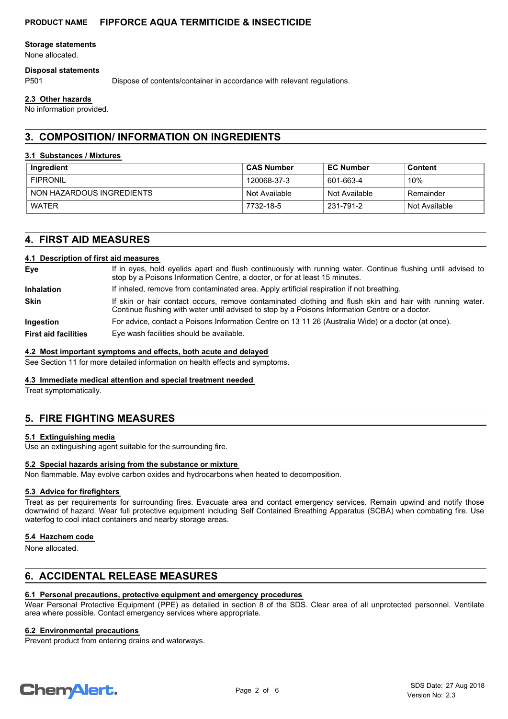#### **Storage statements**

None allocated.

#### **Disposal statements**

P501 Dispose of contents/container in accordance with relevant regulations.

#### **2.3 Other hazards**

No information provided.

## **3. COMPOSITION/ INFORMATION ON INGREDIENTS**

#### **3.1 Substances / Mixtures**

| Ingredient                | . CAS Number  | <b>EC Number</b> | Content       |
|---------------------------|---------------|------------------|---------------|
| <b>FIPRONIL</b>           | 120068-37-3   | 601-663-4        | 10%           |
| NON HAZARDOUS INGREDIENTS | Not Available | Not Available    | Remainder     |
| WATFR                     | 7732-18-5     | 231-791-2        | Not Available |

## **4. FIRST AID MEASURES**

#### **4.1 Description of first aid measures**

| Eye                         | If in eyes, hold eyelids apart and flush continuously with running water. Continue flushing until advised to<br>stop by a Poisons Information Centre, a doctor, or for at least 15 minutes.                 |  |  |  |
|-----------------------------|-------------------------------------------------------------------------------------------------------------------------------------------------------------------------------------------------------------|--|--|--|
| <b>Inhalation</b>           | If inhaled, remove from contaminated area. Apply artificial respiration if not breathing.                                                                                                                   |  |  |  |
| <b>Skin</b>                 | If skin or hair contact occurs, remove contaminated clothing and flush skin and hair with running water.<br>Continue flushing with water until advised to stop by a Poisons Information Centre or a doctor. |  |  |  |
| <b>Ingestion</b>            | For advice, contact a Poisons Information Centre on 13 11 26 (Australia Wide) or a doctor (at once).                                                                                                        |  |  |  |
| <b>First aid facilities</b> | Eye wash facilities should be available.                                                                                                                                                                    |  |  |  |

#### **4.2 Most important symptoms and effects, both acute and delayed**

See Section 11 for more detailed information on health effects and symptoms.

#### **4.3 Immediate medical attention and special treatment needed**

Treat symptomatically.

## **5. FIRE FIGHTING MEASURES**

#### **5.1 Extinguishing media**

Use an extinguishing agent suitable for the surrounding fire.

#### **5.2 Special hazards arising from the substance or mixture**

Non flammable. May evolve carbon oxides and hydrocarbons when heated to decomposition.

#### **5.3 Advice for firefighters**

Treat as per requirements for surrounding fires. Evacuate area and contact emergency services. Remain upwind and notify those downwind of hazard. Wear full protective equipment including Self Contained Breathing Apparatus (SCBA) when combating fire. Use waterfog to cool intact containers and nearby storage areas.

#### **5.4 Hazchem code**

None allocated.

## **6. ACCIDENTAL RELEASE MEASURES**

## **6.1 Personal precautions, protective equipment and emergency procedures**

Wear Personal Protective Equipment (PPE) as detailed in section 8 of the SDS. Clear area of all unprotected personnel. Ventilate area where possible. Contact emergency services where appropriate.

## **6.2 Environmental precautions**

Prevent product from entering drains and waterways.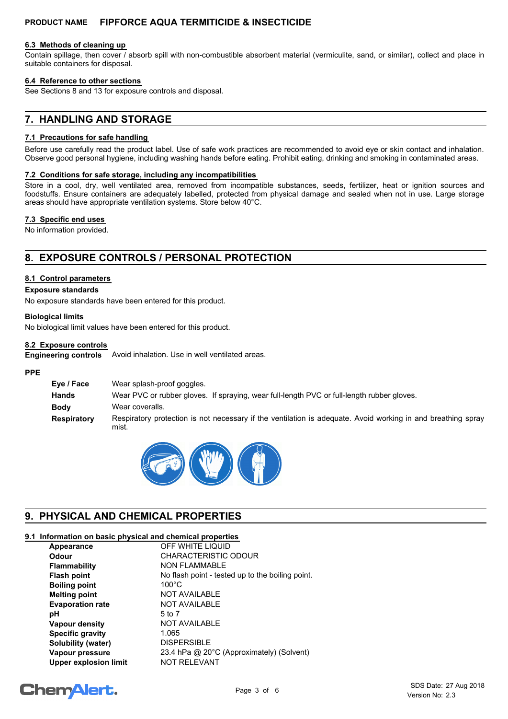#### **6.3 Methods of cleaning up**

Contain spillage, then cover / absorb spill with non-combustible absorbent material (vermiculite, sand, or similar), collect and place in suitable containers for disposal.

#### **6.4 Reference to other sections**

See Sections 8 and 13 for exposure controls and disposal.

## **7. HANDLING AND STORAGE**

#### **7.1 Precautions for safe handling**

Before use carefully read the product label. Use of safe work practices are recommended to avoid eye or skin contact and inhalation. Observe good personal hygiene, including washing hands before eating. Prohibit eating, drinking and smoking in contaminated areas.

#### **7.2 Conditions for safe storage, including any incompatibilities**

Store in a cool, dry, well ventilated area, removed from incompatible substances, seeds, fertilizer, heat or ignition sources and foodstuffs. Ensure containers are adequately labelled, protected from physical damage and sealed when not in use. Large storage areas should have appropriate ventilation systems. Store below 40°C.

#### **7.3 Specific end uses**

No information provided.

## **8. EXPOSURE CONTROLS / PERSONAL PROTECTION**

#### **8.1 Control parameters**

#### **Exposure standards**

No exposure standards have been entered for this product.

#### **Biological limits**

No biological limit values have been entered for this product.

#### **8.2 Exposure controls**

Avoid inhalation. Use in well ventilated areas. **Engineering controls**

#### **PPE**

| Eye / Face         | Wear splash-proof goggles.                                                                                            |
|--------------------|-----------------------------------------------------------------------------------------------------------------------|
| Hands              | Wear PVC or rubber gloves. If spraying, wear full-length PVC or full-length rubber gloves.                            |
| Body               | Wear coveralls.                                                                                                       |
| <b>Respiratory</b> | Respiratory protection is not necessary if the ventilation is adequate. Avoid working in and breathing spray<br>mist. |



## **9. PHYSICAL AND CHEMICAL PROPERTIES**

## **9.1 Information on basic physical and chemical properties**

| Appearance                   | OFF WHITE LIQUID                                 |
|------------------------------|--------------------------------------------------|
| Odour                        | CHARACTERISTIC ODOUR                             |
| <b>Flammability</b>          | <b>NON FLAMMABLE</b>                             |
| <b>Flash point</b>           | No flash point - tested up to the boiling point. |
| <b>Boiling point</b>         | $100^{\circ}$ C                                  |
| <b>Melting point</b>         | <b>NOT AVAILABLE</b>                             |
| <b>Evaporation rate</b>      | <b>NOT AVAILABLE</b>                             |
| рH                           | 5 to 7                                           |
| Vapour density               | NOT AVAILABLE                                    |
| <b>Specific gravity</b>      | 1.065                                            |
| Solubility (water)           | <b>DISPERSIBLE</b>                               |
| Vapour pressure              | 23.4 hPa @ 20°C (Approximately) (Solvent)        |
| <b>Upper explosion limit</b> | <b>NOT RELEVANT</b>                              |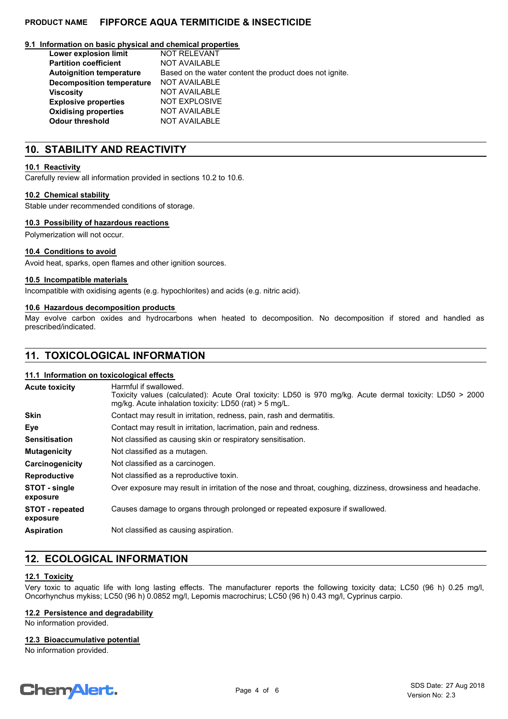#### **9.1 Information on basic physical and chemical properties**

| Lower explosion limit           | <b>NOT RELEVANT</b>                                     |
|---------------------------------|---------------------------------------------------------|
| <b>Partition coefficient</b>    | <b>NOT AVAILABLE</b>                                    |
| <b>Autoignition temperature</b> | Based on the water content the product does not ignite. |
| Decomposition temperature       | <b>NOT AVAILABLE</b>                                    |
| <b>Viscosity</b>                | <b>NOT AVAILABLE</b>                                    |
| <b>Explosive properties</b>     | <b>NOT EXPLOSIVE</b>                                    |
| <b>Oxidising properties</b>     | <b>NOT AVAILABLE</b>                                    |
| <b>Odour threshold</b>          | <b>NOT AVAILABLE</b>                                    |

## **10. STABILITY AND REACTIVITY**

#### **10.1 Reactivity**

Carefully review all information provided in sections 10.2 to 10.6.

#### **10.2 Chemical stability**

Stable under recommended conditions of storage.

#### **10.3 Possibility of hazardous reactions**

Polymerization will not occur.

#### **10.4 Conditions to avoid**

Avoid heat, sparks, open flames and other ignition sources.

#### **10.5 Incompatible materials**

Incompatible with oxidising agents (e.g. hypochlorites) and acids (e.g. nitric acid).

#### **10.6 Hazardous decomposition products**

May evolve carbon oxides and hydrocarbons when heated to decomposition. No decomposition if stored and handled as prescribed/indicated.

## **11. TOXICOLOGICAL INFORMATION**

#### **11.1 Information on toxicological effects**

| <b>Acute toxicity</b>              | Harmful if swallowed.<br>Toxicity values (calculated): Acute Oral toxicity: LD50 is 970 mg/kg. Acute dermal toxicity: LD50 > 2000<br>mg/kg. Acute inhalation toxicity: LD50 (rat) $>$ 5 mg/L. |  |  |
|------------------------------------|-----------------------------------------------------------------------------------------------------------------------------------------------------------------------------------------------|--|--|
| <b>Skin</b>                        | Contact may result in irritation, redness, pain, rash and dermatitis.                                                                                                                         |  |  |
| Eye                                | Contact may result in irritation, lacrimation, pain and redness.                                                                                                                              |  |  |
| <b>Sensitisation</b>               | Not classified as causing skin or respiratory sensitisation.                                                                                                                                  |  |  |
| <b>Mutagenicity</b>                | Not classified as a mutagen.                                                                                                                                                                  |  |  |
| Carcinogenicity                    | Not classified as a carcinogen.                                                                                                                                                               |  |  |
| <b>Reproductive</b>                | Not classified as a reproductive toxin.                                                                                                                                                       |  |  |
| STOT - single<br>exposure          | Over exposure may result in irritation of the nose and throat, coughing, dizziness, drowsiness and headache.                                                                                  |  |  |
| <b>STOT - repeated</b><br>exposure | Causes damage to organs through prolonged or repeated exposure if swallowed.                                                                                                                  |  |  |
| <b>Aspiration</b>                  | Not classified as causing aspiration.                                                                                                                                                         |  |  |

## **12. ECOLOGICAL INFORMATION**

#### **12.1 Toxicity**

Very toxic to aquatic life with long lasting effects. The manufacturer reports the following toxicity data; LC50 (96 h) 0.25 mg/l, Oncorhynchus mykiss; LC50 (96 h) 0.0852 mg/l, Lepomis macrochirus; LC50 (96 h) 0.43 mg/l, Cyprinus carpio.

#### **12.2 Persistence and degradability**

No information provided.

#### **12.3 Bioaccumulative potential**

No information provided.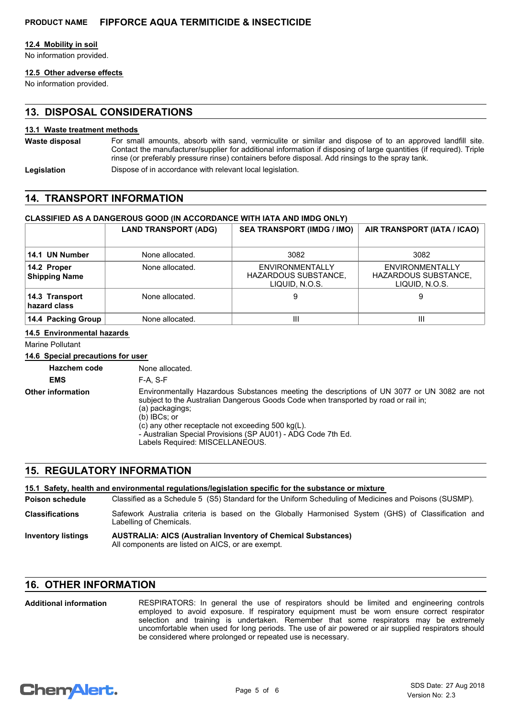#### **12.4 Mobility in soil**

No information provided.

## **12.5 Other adverse effects**

No information provided.

## **13. DISPOSAL CONSIDERATIONS**

#### **13.1 Waste treatment methods**

For small amounts, absorb with sand, vermiculite or similar and dispose of to an approved landfill site. Contact the manufacturer/supplier for additional information if disposing of large quantities (if required). Triple rinse (or preferably pressure rinse) containers before disposal. Add rinsings to the spray tank. **Waste disposal**

**Legislation** Dispose of in accordance with relevant local legislation.

## **14. TRANSPORT INFORMATION**

#### **CLASSIFIED AS A DANGEROUS GOOD (IN ACCORDANCE WITH IATA AND IMDG ONLY)**

|                                     | <b>LAND TRANSPORT (ADG)</b> | <b>SEA TRANSPORT (IMDG / IMO)</b>                                       | AIR TRANSPORT (IATA / ICAO)                                             |
|-------------------------------------|-----------------------------|-------------------------------------------------------------------------|-------------------------------------------------------------------------|
| 14.1 UN Number                      | None allocated.             | 3082                                                                    | 3082                                                                    |
| 14.2 Proper<br><b>Shipping Name</b> | None allocated.             | <b>ENVIRONMENTALLY</b><br><b>HAZARDOUS SUBSTANCE,</b><br>LIQUID, N.O.S. | <b>ENVIRONMENTALLY</b><br><b>HAZARDOUS SUBSTANCE,</b><br>LIQUID, N.O.S. |
| 14.3 Transport<br>hazard class      | None allocated.             | 9                                                                       | 9                                                                       |
| 14.4 Packing Group                  | None allocated.             | Ш                                                                       | Ш                                                                       |

#### **14.5 Environmental hazards**

Marine Pollutant

#### **14.6 Special precautions for user**

**Hazchem code** None allocated.

**EMS** F-A, S-F

**Other information**

Environmentally Hazardous Substances meeting the descriptions of UN 3077 or UN 3082 are not subject to the Australian Dangerous Goods Code when transported by road or rail in; (a) packagings; (b) IBCs; or  $(c)$  any other receptacle not exceeding 500 kg(L). - Australian Special Provisions (SP AU01) - ADG Code 7th Ed.

Labels Required: MISCELLANEOUS.

## **15. REGULATORY INFORMATION**

## **15.1 Safety, health and environmental regulations/legislation specific for the substance or mixture**

Classified as a Schedule 5 (S5) Standard for the Uniform Scheduling of Medicines and Poisons (SUSMP). **Poison schedule**

Safework Australia criteria is based on the Globally Harmonised System (GHS) of Classification and Labelling of Chemicals. **Classifications**

#### **AUSTRALIA: AICS (Australian Inventory of Chemical Substances)** All components are listed on AICS, or are exempt. **Inventory listings**

## **16. OTHER INFORMATION**

RESPIRATORS: In general the use of respirators should be limited and engineering controls employed to avoid exposure. If respiratory equipment must be worn ensure correct respirator selection and training is undertaken. Remember that some respirators may be extremely uncomfortable when used for long periods. The use of air powered or air supplied respirators should be considered where prolonged or repeated use is necessary. **Additional information**